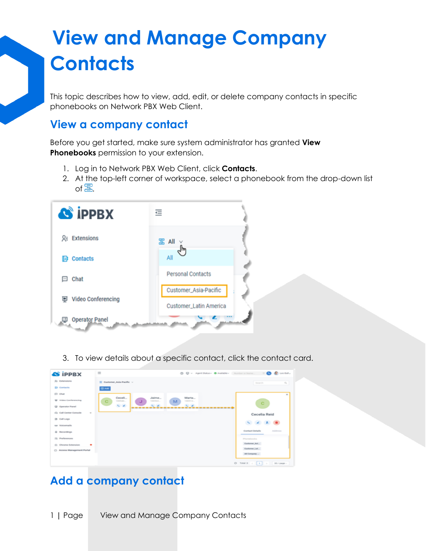This topic describes how to view, add, edit, or delete company contacts in specific phonebooks on Network PBX Web Client.

### **View a company contact**

Before you get started, make sure system administrator has granted **View Phonebooks** permission to your extension.

- 1. Log in to Network PBX Web Client, click **Contacts**.
- 2. At the top-left corner of workspace, select a phonebook from the drop-down list of $\Xi$ .



3. To view details about a specific contact, click the contact card.



### **Add a company contact**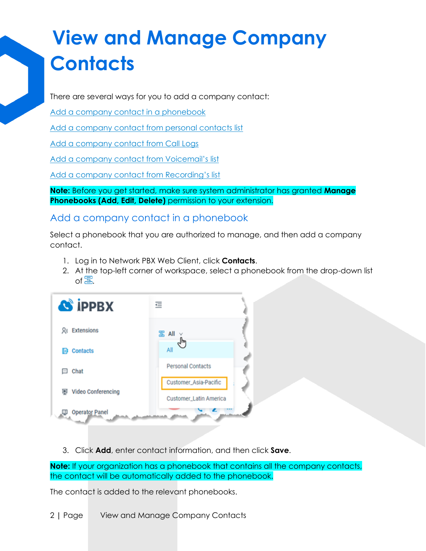There are several ways for you to add a company contact:

[Add a company contact in a phonebook](https://help.yeastar.com/en/p-series-cloud-edition/web-client-user-guide/view-and-manage-company-contacts-enterprise-ultimate.html#manage-company-contacts__on-company-contacts)

[Add a company contact from personal contacts list](https://help.yeastar.com/en/p-series-cloud-edition/web-client-user-guide/view-and-manage-company-contacts-enterprise-ultimate.html#manage-company-contacts__add-from-personal)

[Add a company contact from Call Logs](https://help.yeastar.com/en/p-series-cloud-edition/web-client-user-guide/view-and-manage-company-contacts-enterprise-ultimate.html#manage-company-contacts__add-from-call-logs)

[Add a company contact from](https://help.yeastar.com/en/p-series-cloud-edition/web-client-user-guide/view-and-manage-company-contacts-enterprise-ultimate.html#manage-company-contacts__add-from-voicemail) Voicemail's list

[Add a company contact from](https://help.yeastar.com/en/p-series-cloud-edition/web-client-user-guide/view-and-manage-company-contacts-enterprise-ultimate.html#manage-company-contacts__add-from-recordings) Recording's list

**Note:** Before you get started, make sure system administrator has granted **Manage Phonebooks (Add, Edit, Delete)** permission to your extension.

Add a company contact in a phonebook

Select a phonebook that you are authorized to manage, and then add a company contact.

- 1. Log in to Network PBX Web Client, click **Contacts**.
- 2. At the top-left corner of workspace, select a phonebook from the drop-down list of $\Xi$ .

| <b>S iPPBX</b>                   | 르                                               |
|----------------------------------|-------------------------------------------------|
| <b>Q</b> <sub>=</sub> Extensions | <sub>B</sub> All                                |
| <b>Contacts</b><br>B             | All                                             |
| Chat<br>$\frac{1}{2}$            | <b>Personal Contacts</b>                        |
| <b>匣</b> Video Conferencing      | Customer_Asia-Pacific<br>Customer_Latin America |
| <b>Operator Panel</b><br>φ       |                                                 |

3. Click **Add**, enter contact information, and then click **Save**.

**Note:** If your organization has a phonebook that contains all the company contacts, the contact will be automatically added to the phonebook.

The contact is added to the relevant phonebooks.

2 **|** Page View and Manage Company Contacts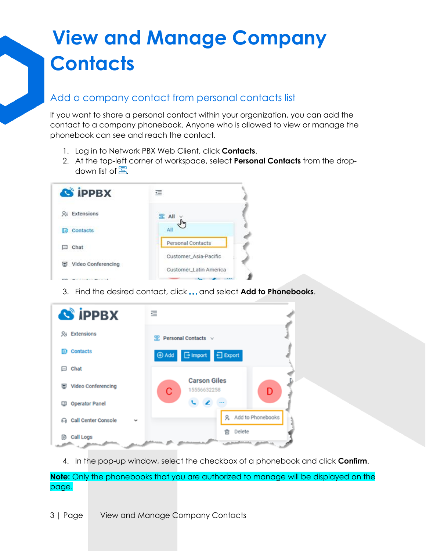#### Add a company contact from personal contacts list

If you want to share a personal contact within your organization, you can add the contact to a company phonebook. Anyone who is allowed to view or manage the phonebook can see and reach the contact.

- 1. Log in to Network PBX Web Client, click **Contacts**.
- 2. At the top-left corner of workspace, select **Personal Contacts** from the dropdown list of  $\Xi$ .

| <b>S</b> iPPBX       | $\leftarrow$                                    |
|----------------------|-------------------------------------------------|
| $Q =$ Extensions     | $\mathbb{R}$ All                                |
| <b>EF</b> Contacts   | All                                             |
| Chat<br>$\sim$       | Personal Contacts                               |
| 图 Video Conferencing | Customer_Asia-Pacific<br>Customer_Latin America |
|                      |                                                 |

3. Find the desired contact, click and select **Add to Phonebooks**.

| <b>S</b> iPPBX                  | $\equiv$                                     |
|---------------------------------|----------------------------------------------|
| 只: Extensions                   | $\mathbb{R}$ Personal Contacts $\vee$        |
| Contacts<br>D)                  | $\Box$ Import<br>日 Export<br><b>E</b> Add    |
| Chat<br>⊟                       |                                              |
| Video Conferencing<br>▣         | <b>Carson Giles</b><br>С<br>15556632258<br>D |
| <b>Operator Panel</b>           |                                              |
| <b>Call Center Console</b><br>െ | 9. Add to Phonebooks                         |
| Call Logs<br>B                  | Delete<br>নি                                 |

4. In the pop-up window, select the checkbox of a phonebook and click **Confirm**.

**Note:** Only the phonebooks that you are authorized to manage will be displayed on the page.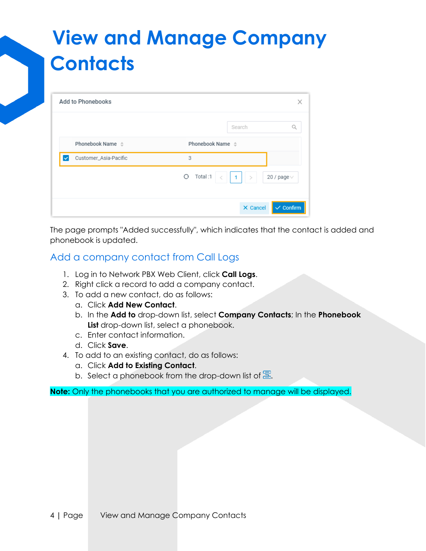| <b>Add to Phonebooks</b>         |                       |                 | Х                    |
|----------------------------------|-----------------------|-----------------|----------------------|
|                                  |                       | Search          | a                    |
| Phonebook Name $\Leftrightarrow$ | Phonebook Name $\div$ |                 |                      |
| Customer_Asia-Pacific<br>✓       | 3                     |                 |                      |
|                                  | Total:1<br>Θ          | $1 \mid$ >      | 20 / page $\vee$     |
|                                  |                       | $\times$ Cancel | $\checkmark$ Confirm |

The page prompts "Added successfully", which indicates that the contact is added and phonebook is updated.

#### Add a company contact from Call Logs

- 1. Log in to Network PBX Web Client, click **Call Logs**.
- 2. Right click a record to add a company contact.
- 3. To add a new contact, do as follows:
	- a. Click **Add New Contact**.
	- b. In the **Add to** drop-down list, select **Company Contacts**; In the **Phonebook List** drop-down list, select a phonebook.
	- c. Enter contact information.
	- d. Click **Save**.
- 4. To add to an existing contact, do as follows:
	- a. Click **Add to Existing Contact**.
	- b. Select a phonebook from the drop-down list of  $\Xi$ .

**Note:** Only the phonebooks that you are authorized to manage will be displayed.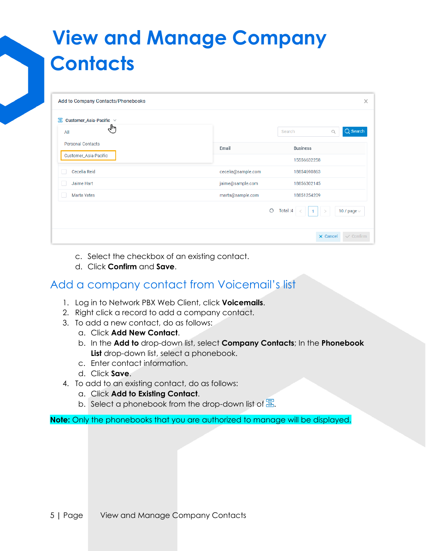| Add to Company Contacts/Phonebooks |                    | X                                                       |
|------------------------------------|--------------------|---------------------------------------------------------|
| 冨<br>Customer_Asia-Pacific v       |                    |                                                         |
| Ψμ<br>All                          |                    | Q Search<br>Search<br>Q                                 |
| <b>Personal Contacts</b>           | Email              | <b>Business</b>                                         |
| Customer_Asia-Pacific              |                    | 15556632258                                             |
| Cecelia Reid                       | cecelia@sample.com | 18854690863                                             |
| Jaime Hart                         | jaime@sample.com   | 18856302145                                             |
| <b>Marta Yates</b>                 | marta@sample.com   | 18851254209                                             |
|                                    |                    | $\circ$<br>Total: 4<br>10 / page $\vee$<br>$\mathbf{1}$ |
|                                    |                    | $\times$ Cancel<br>$\checkmark$ Confirm                 |

- c. Select the checkbox of an existing contact.
- d. Click **Confirm** and **Save**.

#### Add a company contact from Voicemail's list

- 1. Log in to Network PBX Web Client, click **Voicemails**.
- 2. Right click a record to add a company contact.
- 3. To add a new contact, do as follows:
	- a. Click **Add New Contact**.
	- b. In the **Add to** drop-down list, select **Company Contacts**; In the **Phonebook List** drop-down list, select a phonebook.
	- c. Enter contact information.
	- d. Click **Save**.
- 4. To add to an existing contact, do as follows:
	- a. Click **Add to Existing Contact**.
	- b. Select a phonebook from the drop-down list of  $\overline{\mathbb{S}}$ .

**Note:** Only the phonebooks that you are authorized to manage will be displayed.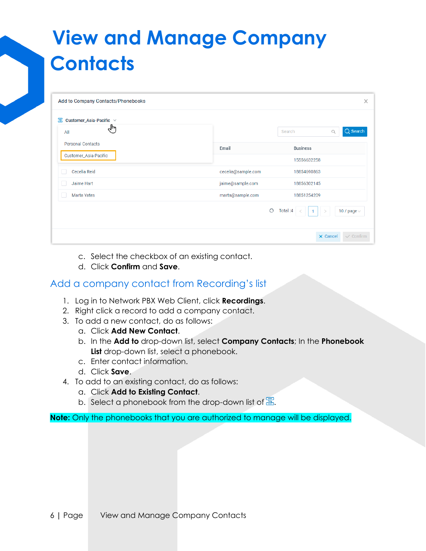| Add to Company Contacts/Phonebooks |                    | X                                                       |
|------------------------------------|--------------------|---------------------------------------------------------|
| 冨<br>Customer_Asia-Pacific v       |                    |                                                         |
| √lm<br>All                         |                    | Q Search<br>Search<br>Q                                 |
| <b>Personal Contacts</b>           | Email              | <b>Business</b>                                         |
| Customer_Asia-Pacific              |                    | 15556632258                                             |
| Cecelia Reid                       | cecelia@sample.com | 18854690863                                             |
| Jaime Hart                         | jaime@sample.com   | 18856302145                                             |
| <b>Marta Yates</b>                 | marta@sample.com   | 18851254209                                             |
|                                    |                    | $\circ$<br>Total: 4<br>10 / page $\vee$<br>$\mathbf{1}$ |
|                                    |                    | $\times$ Cancel<br>$\checkmark$ Confirm                 |

- c. Select the checkbox of an existing contact.
- d. Click **Confirm** and **Save**.

#### Add a company contact from Recording's list

- 1. Log in to Network PBX Web Client, click **Recordings**.
- 2. Right click a record to add a company contact.
- 3. To add a new contact, do as follows:
	- a. Click **Add New Contact**.
	- b. In the **Add to** drop-down list, select **Company Contacts**; In the **Phonebook List** drop-down list, select a phonebook.
	- c. Enter contact information.
	- d. Click **Save**.
- 4. To add to an existing contact, do as follows:
	- a. Click **Add to Existing Contact**.
	- b. Select a phonebook from the drop-down list of  $\Xi$ .

**Note:** Only the phonebooks that you are authorized to manage will be displayed.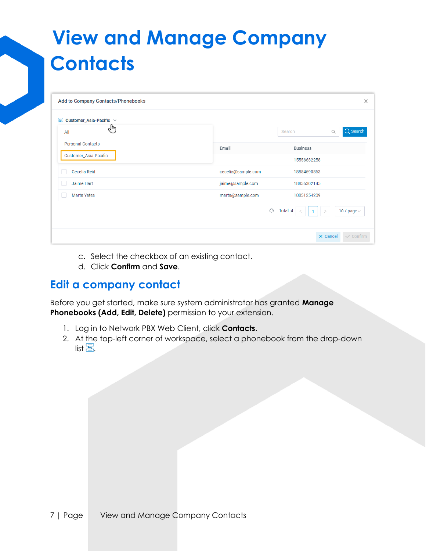| Add to Company Contacts/Phonebooks |                    | X                                       |
|------------------------------------|--------------------|-----------------------------------------|
| 冨<br>Customer_Asia-Pacific $\vee$  |                    |                                         |
| Ψμ<br>All                          |                    | $Q$ Search<br>Search<br>Q               |
| <b>Personal Contacts</b>           | Email              | <b>Business</b>                         |
| Customer_Asia-Pacific              |                    | 15556632258                             |
| Cecelia Reid                       | cecelia@sample.com | 18854690863                             |
| Jaime Hart                         | jaime@sample.com   | 18856302145                             |
| <b>Marta Yates</b>                 | marta@sample.com   | 18851254209                             |
|                                    | $\circ$            | Total: 4<br>10 / page $\vee$            |
|                                    |                    | $\times$ Cancel<br>$\checkmark$ Confirm |

- c. Select the checkbox of an existing contact.
- d. Click **Confirm** and **Save**.

#### **Edit a company contact**

Before you get started, make sure system administrator has granted **Manage Phonebooks (Add, Edit, Delete)** permission to your extension.

- 1. Log in to Network PBX Web Client, click **Contacts**.
- 2. At the top-left corner of workspace, select a phonebook from the drop-down list  $\Xi$ .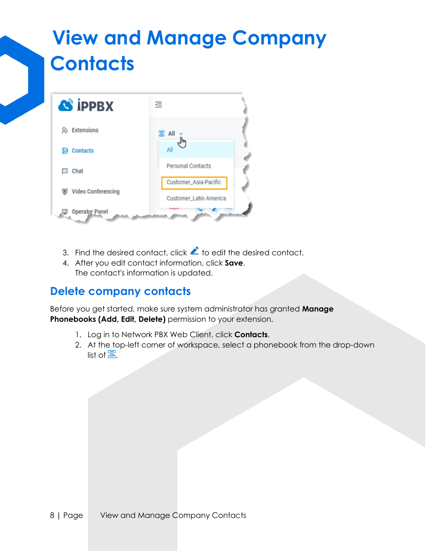

- 3. Find the desired contact, click  $\blacktriangle$  to edit the desired contact.
- 4. After you edit contact information, click **Save**. The contact's information is updated.

### **Delete company contacts**

Before you get started, make sure system administrator has granted **Manage Phonebooks (Add, Edit, Delete)** permission to your extension.

- 1. Log in to Network PBX Web Client, click **Contacts**.
- 2. At the top-left corner of workspace, select a phonebook from the drop-down list of  $\Xi$ .